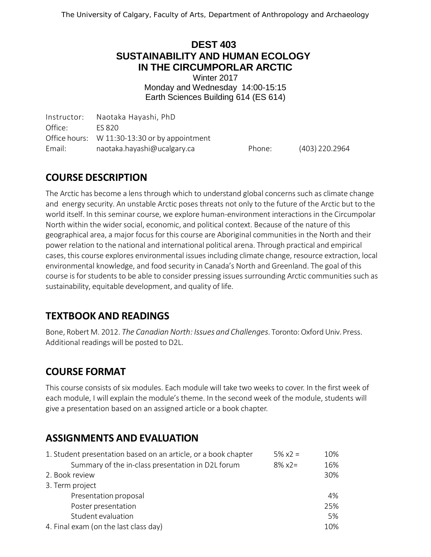#### **DEST 403 SUSTAINABILITY AND HUMAN ECOLOGY IN THE CIRCUMPORLAR ARCTIC**

Winter 2017 Monday and Wednesday 14:00-15:15 Earth Sciences Building 614 (ES 614)

Instructor: Naotaka Hayashi, PhD Office: ES 820 Office hours: W 11:30-13:30 or by appointment Email: [naotaka.hayashi@ucalgary.ca](mailto:naotaka.hayashi@ucalgary.ca) Phone: (403) 220.2964

# **COURSE DESCRIPTION**

The Arctic has become a lens through which to understand global concerns such as climate change and energy security. An unstable Arctic poses threats not only to the future of the Arctic but to the world itself. In this seminar course, we explore human-environment interactions in the Circumpolar North within the wider social, economic, and political context. Because of the nature of this geographical area, a major focus for this course are Aboriginal communities in the North and their power relation to the national and international political arena. Through practical and empirical cases, this course explores environmental issues including climate change, resource extraction, local environmental knowledge, and food security in Canada's North and Greenland. The goal of this course is for students to be able to consider pressing issues surrounding Arctic communities such as sustainability, equitable development, and quality of life.

# **TEXTBOOK AND READINGS**

Bone, Robert M. 2012. *The Canadian North: Issues and Challenges*. Toronto:Oxford Univ. Press. Additional readings will be posted to D2L.

# **COURSE FORMAT**

This course consists of six modules. Each module will take two weeks to cover. In the first week of each module, I will explain the module's theme. In the second week of the module, students will give a presentation based on an assigned article or a book chapter.

# **ASSIGNMENTS AND EVALUATION**

| 1. Student presentation based on an article, or a book chapter | $5\% \times 2 =$ | 10% |
|----------------------------------------------------------------|------------------|-----|
| Summary of the in-class presentation in D2L forum              | $8\% x2 =$       | 16% |
| 2. Book review                                                 |                  | 30% |
| 3. Term project                                                |                  |     |
| Presentation proposal                                          |                  | 4%  |
| Poster presentation                                            |                  | 25% |
| Student evaluation                                             |                  | 5%  |
| 4. Final exam (on the last class day)                          |                  | 10% |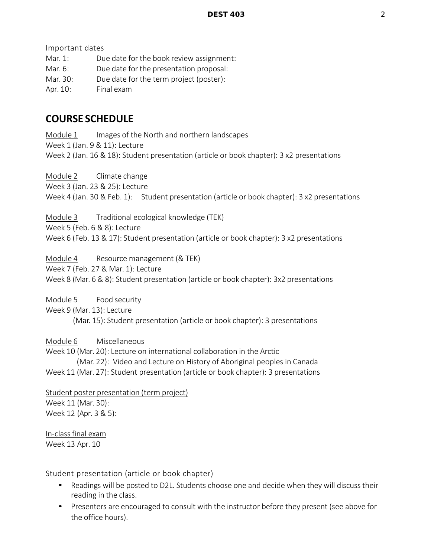Important dates

Mar. 1: Due date for the book review assignment:

Mar. 6: Due date for the presentation proposal:

Mar. 30: Due date for the term project (poster):

Apr. 10: Final exam

#### **COURSE SCHEDULE**

Module 1 Images of the North and northern landscapes Week 1 (Jan. 9 & 11): Lecture Week 2 (Jan. 16 & 18): Student presentation (article or book chapter): 3 x2 presentations

Module 2 Climate change

Week 3 (Jan. 23 & 25): Lecture

Week 4 (Jan. 30 & Feb. 1): Student presentation (article or book chapter): 3 x2 presentations

Module 3 Traditional ecological knowledge (TEK) Week 5 (Feb. 6 & 8): Lecture Week 6 (Feb. 13 & 17): Student presentation (article or book chapter): 3 x2 presentations

Module 4 Resource management (& TEK)

Week 7 (Feb. 27 & Mar. 1): Lecture

Week 8 (Mar. 6 & 8): Student presentation (article or book chapter): 3x2 presentations

Module 5 Food security Week 9 (Mar. 13): Lecture

(Mar. 15): Student presentation (article or book chapter): 3 presentations

Module 6 Miscellaneous

Week 10 (Mar. 20): Lecture on international collaboration in the Arctic (Mar. 22): Video and Lecture on History of Aboriginal peoples in Canada Week 11 (Mar. 27): Student presentation (article or book chapter): 3 presentations

Student poster presentation (term project) Week 11 (Mar. 30): Week 12 (Apr. 3 & 5):

In-classfinal exam Week 13 Apr. 10

Student presentation (article or book chapter)

- Readings will be posted to D2L. Students choose one and decide when they will discuss their reading in the class.
- Presenters are encouraged to consult with the instructor before they present (see above for the office hours).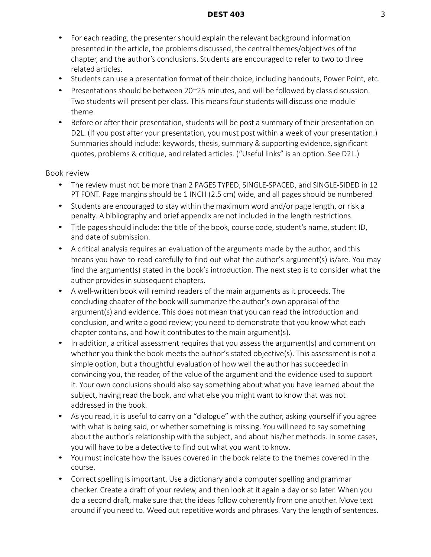- For each reading, the presenter should explain the relevant background information presented in the article, the problems discussed, the central themes/objectives of the chapter, and the author's conclusions. Students are encouraged to refer to two to three related articles.
- Students can use a presentation format of their choice, including handouts, Power Point, etc.
- Presentations should be between  $20^{\circ}25$  minutes, and will be followed by class discussion. Two students will present per class. This means four students will discuss one module theme.
- Before or after their presentation, students will be post a summary of their presentation on D2L. (If you post after your presentation, you must post within a week of your presentation.) Summaries should include: keywords, thesis, summary & supporting evidence, significant quotes, problems & critique, and related articles. ("Useful links" is an option. See D2L.)

#### Book review

- The review must not be more than 2 PAGES TYPED, SINGLE-SPACED, and SINGLE-SIDED in 12 PT FONT. Page margins should be 1 INCH (2.5 cm) wide, and all pages should be numbered
- Students are encouraged to stay within the maximum word and/or page length, or risk a penalty. A bibliography and brief appendix are not included in the length restrictions.
- Title pages should include: the title of the book, course code, student's name, student ID, and date of submission.
- A critical analysis requires an evaluation of the arguments made by the author, and this means you have to read carefully to find out what the author's argument(s) is/are. You may find the argument(s) stated in the book's introduction. The next step is to consider what the author provides in subsequent chapters.
- A well-written book will remind readers of the main arguments as it proceeds. The concluding chapter of the book will summarize the author's own appraisal of the argument(s) and evidence. This does not mean that you can read the introduction and conclusion, and write a good review; you need to demonstrate that you know what each chapter contains, and how it contributes to the main argument(s).
- In addition, a critical assessment requires that you assess the argument(s) and comment on whether you think the book meets the author's stated objective(s). This assessment is not a simple option, but a thoughtful evaluation of how well the author has succeeded in convincing you, the reader, of the value of the argument and the evidence used to support it. Your own conclusions should also say something about what you have learned about the subject, having read the book, and what else you might want to know that was not addressed in the book.
- As you read, it is useful to carry on a "dialogue" with the author, asking yourself if you agree with what is being said, or whether something is missing. You will need to say something about the author's relationship with the subject, and about his/her methods. In some cases, you will have to be a detective to find out what you want to know.
- You must indicate how the issues covered in the book relate to the themes covered in the course.
- Correct spelling is important. Use a dictionary and a computer spelling and grammar checker. Create a draft of your review, and then look at it again a day or so later. When you do a second draft, make sure that the ideas follow coherently from one another. Move text around if you need to. Weed out repetitive words and phrases. Vary the length of sentences.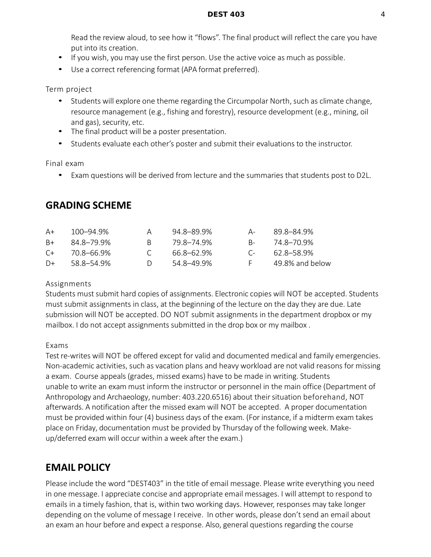Read the review aloud, to see how it "flows". The final product will reflect the care you have put into its creation.

- If you wish, you may use the first person. Use the active voice as much as possible.
- Use a correct referencing format (APA format preferred).

Term project

- Students will explore one theme regarding the Circumpolar North, such as climate change, resource management (e.g., fishing and forestry), resource development (e.g., mining, oil and gas), security, etc.
- The final product will be a poster presentation.
- Students evaluate each other's poster and submit their evaluations to the instructor.

Final exam

• Exam questions will be derived from lecture and the summaries that students post to D2L.

### **GRADING SCHEME**

| A+      | 100–94.9%  |        | 94.8–89.9% | $\mathsf{A}-$ | 89.8–84.9%      |
|---------|------------|--------|------------|---------------|-----------------|
| $B+$    | 848-79.9%  | R.     | 79 8–74 9% | $R_{\pm}$     | 74.8–70.9%      |
| $C_{+}$ | 70.8–66.9% |        | 66.8–62.9% | $C_{\pm}$     | 62.8–58.9%      |
| $D+$    | 58.8–54.9% | $\Box$ | 54.8–49.9% |               | 49.8% and below |

#### Assignments

Students must submit hard copies of assignments. Electronic copies will NOT be accepted. Students must submit assignments in class, at the beginning of the lecture on the day they are due. Late submission will NOT be accepted. DO NOT submit assignments in the department dropbox or my mailbox. I do not accept assignments submitted in the drop box or my mailbox .

Exams

Test re-writes will NOT be offered except for valid and documented medical and family emergencies. Non-academic activities, such as vacation plans and heavy workload are not valid reasons for missing a exam. Course appeals (grades, missed exams) have to be made in writing. Students unable to write an exam must inform the instructor or personnel in the main office (Department of Anthropology and Archaeology, number: 403.220.6516) about theirsituation beforehand, NOT afterwards. A notification after the missed exam will NOT be accepted. A proper documentation must be provided within four (4) business days of the exam. (For instance, if a midterm exam takes place on Friday, documentation must be provided by Thursday of the following week. Makeup/deferred exam will occur within a week after the exam.)

# **EMAIL POLICY**

Please include the word "DEST403" in the title of email message. Please write everything you need in one message. I appreciate concise and appropriate email messages. I will attempt to respond to emails in a timely fashion, that is, within two working days. However, responses may take longer depending on the volume of message I receive. In other words, please don't send an email about an exam an hour before and expect a response. Also, general questions regarding the course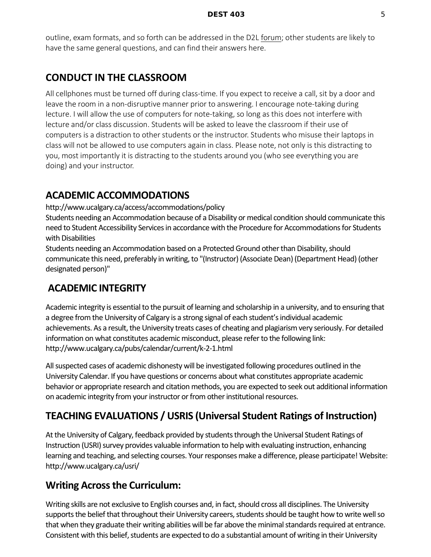outline, exam formats, and so forth can be addressed in the D2L forum; other students are likely to have the same general questions, and can find their answers here.

# **CONDUCT IN THE CLASSROOM**

All cellphones must be turned off during class-time. If you expect to receive a call, sit by a door and leave the room in a non-disruptive manner prior to answering. I encourage note-taking during lecture. I will allow the use of computers for note-taking, so long as this does not interfere with lecture and/or class discussion. Students will be asked to leave the classroom if their use of computers is a distraction to other students or the instructor. Students who misuse their laptops in class will not be allowed to use computers again in class. Please note, not only is this distracting to you, most importantly it is distracting to the students around you (who see everything you are doing) and your instructor.

#### **ACADEMIC ACCOMMODATIONS**

http://www.ucalgary.ca/access/accommodations/policy

Students needing an Accommodation because of a Disability or medical condition should communicate this need to Student Accessibility Services in accordance with the Procedure for Accommodations for Students with Disabilities

Students needing an Accommodation based on a Protected Ground other than Disability, should communicate this need, preferably in writing, to "(Instructor) (Associate Dean) (Department Head) (other designated person)"

### **ACADEMIC INTEGRITY**

Academic integrity is essential to the pursuit of learning and scholarship in a university, and to ensuring that a degree from the University of Calgary is a strong signal of each student's individual academic achievements. As a result, the University treats cases of cheating and plagiarism very seriously. For detailed information on what constitutes academic misconduct, please refer to the following link: http://www.ucalgary.ca/pubs/calendar/current/k-2-1.html

All suspected cases of academic dishonesty will be investigated following procedures outlined in the University Calendar. If you have questions or concerns about what constitutes appropriate academic behavior or appropriate research and citation methods, you are expected to seek out additional information on academic integrity from your instructor or from other institutional resources.

# **TEACHING EVALUATIONS / USRIS (Universal Student Ratings of Instruction)**

At the University of Calgary, feedback provided by students through the Universal Student Ratings of Instruction (USRI) survey provides valuable information to help with evaluating instruction, enhancing learning and teaching, and selecting courses. Your responses make a difference, please participate! Website: http://www.ucalgary.ca/usri/

### **Writing Across the Curriculum:**

Writing skills are not exclusive to English courses and, in fact, should cross all disciplines. The University supports the belief that throughout their University careers, students should be taught how to write well so that when they graduate their writing abilities will be far above the minimal standards required at entrance. Consistent with this belief, students are expected to do a substantial amount of writing in their University